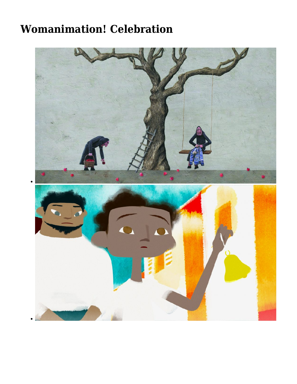## **[Womanimation! Celebration](https://motifri.com/womanimation-celebration/)**

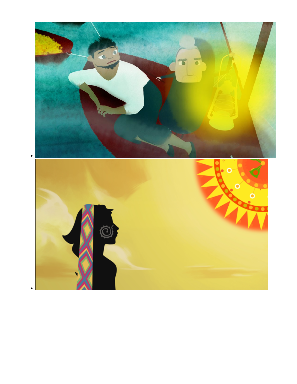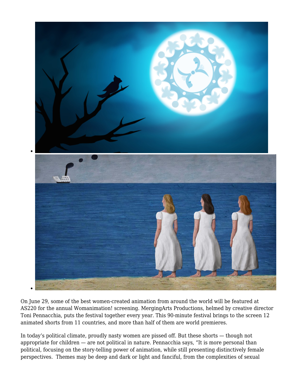

On June 29, some of the best women-created animation from around the world will be featured at AS220 for the annual Womanimation! screening. MergingArts Productions, helmed by creative director Toni Pennacchia, puts the festival together every year. This 90-minute festival brings to the screen 12 animated shorts from 11 countries, and more than half of them are world premieres.

In today's political climate, proudly nasty women are pissed off. But these shorts — though not appropriate for children — are not political in nature. Pennacchia says, "It is more personal than political, focusing on the story-telling power of animation, while still presenting distinctively female perspectives. Themes may be deep and dark or light and fanciful, from the complexities of sexual